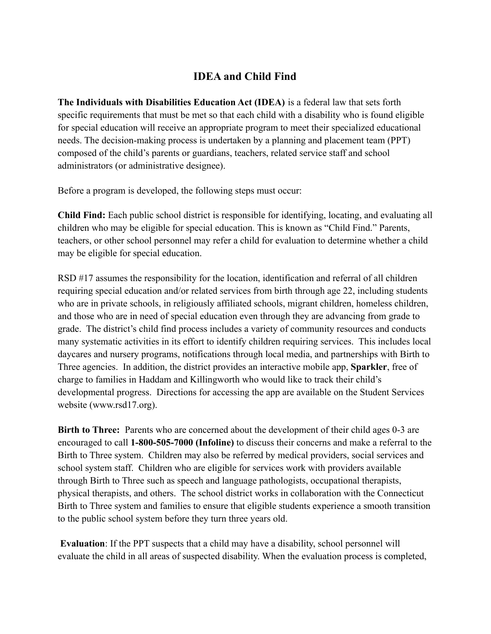## **IDEA and Child Find**

**The Individuals with Disabilities Education Act (IDEA)** is a federal law that sets forth specific requirements that must be met so that each child with a disability who is found eligible for special education will receive an appropriate program to meet their specialized educational needs. The decision-making process is undertaken by a planning and placement team (PPT) composed of the child's parents or guardians, teachers, related service staff and school administrators (or administrative designee).

Before a program is developed, the following steps must occur:

**Child Find:** Each public school district is responsible for identifying, locating, and evaluating all children who may be eligible for special education. This is known as "Child Find." Parents, teachers, or other school personnel may refer a child for evaluation to determine whether a child may be eligible for special education.

RSD #17 assumes the responsibility for the location, identification and referral of all children requiring special education and/or related services from birth through age 22, including students who are in private schools, in religiously affiliated schools, migrant children, homeless children, and those who are in need of special education even through they are advancing from grade to grade. The district's child find process includes a variety of community resources and conducts many systematic activities in its effort to identify children requiring services. This includes local daycares and nursery programs, notifications through local media, and partnerships with Birth to Three agencies. In addition, the district provides an interactive mobile app, **Sparkler**, free of charge to families in Haddam and Killingworth who would like to track their child's developmental progress. Directions for accessing the app are available on the Student Services website (www.rsd17.org).

**Birth to Three:** Parents who are concerned about the development of their child ages 0-3 are encouraged to call **1-800-505-7000 (Infoline)** to discuss their concerns and make a referral to the Birth to Three system. Children may also be referred by medical providers, social services and school system staff. Children who are eligible for services work with providers available through Birth to Three such as speech and language pathologists, occupational therapists, physical therapists, and others. The school district works in collaboration with the Connecticut Birth to Three system and families to ensure that eligible students experience a smooth transition to the public school system before they turn three years old.

**Evaluation**: If the PPT suspects that a child may have a disability, school personnel will evaluate the child in all areas of suspected disability. When the evaluation process is completed,